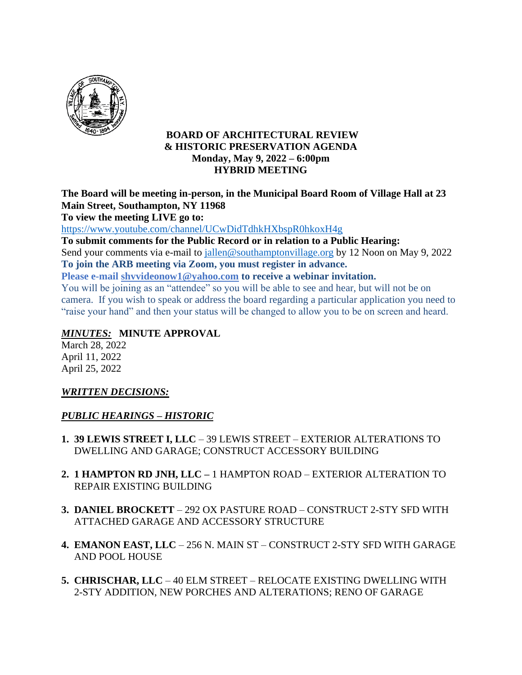

### **BOARD OF ARCHITECTURAL REVIEW & HISTORIC PRESERVATION AGENDA Monday, May 9, 2022 – 6:00pm HYBRID MEETING**

**The Board will be meeting in-person, in the Municipal Board Room of Village Hall at 23 Main Street, Southampton, NY 11968**

**To view the meeting LIVE go to:**

<https://www.youtube.com/channel/UCwDidTdhkHXbspR0hkoxH4g>

**To submit comments for the Public Record or in relation to a Public Hearing:** Send your comments via e-mail to jallen@southamptonvillage.org by 12 Noon on May 9, 2022 **To join the ARB meeting via Zoom, you must register in advance.**

**Please e-mail shvvideonow1@yahoo.com to receive a webinar invitation.**

You will be joining as an "attendee" so you will be able to see and hear, but will not be on camera. If you wish to speak or address the board regarding a particular application you need to "raise your hand" and then your status will be changed to allow you to be on screen and heard.

# *MINUTES:* **MINUTE APPROVAL**

March 28, 2022 April 11, 2022 April 25, 2022

### *WRITTEN DECISIONS:*

### *PUBLIC HEARINGS – HISTORIC*

- **1. 39 LEWIS STREET I, LLC** 39 LEWIS STREET EXTERIOR ALTERATIONS TO DWELLING AND GARAGE; CONSTRUCT ACCESSORY BUILDING
- **2. 1 HAMPTON RD JNH, LLC –** 1 HAMPTON ROAD EXTERIOR ALTERATION TO REPAIR EXISTING BUILDING
- **3. DANIEL BROCKETT** 292 OX PASTURE ROAD CONSTRUCT 2-STY SFD WITH ATTACHED GARAGE AND ACCESSORY STRUCTURE
- **4. EMANON EAST, LLC** 256 N. MAIN ST CONSTRUCT 2-STY SFD WITH GARAGE AND POOL HOUSE
- **5. CHRISCHAR, LLC** 40 ELM STREET RELOCATE EXISTING DWELLING WITH 2-STY ADDITION, NEW PORCHES AND ALTERATIONS; RENO OF GARAGE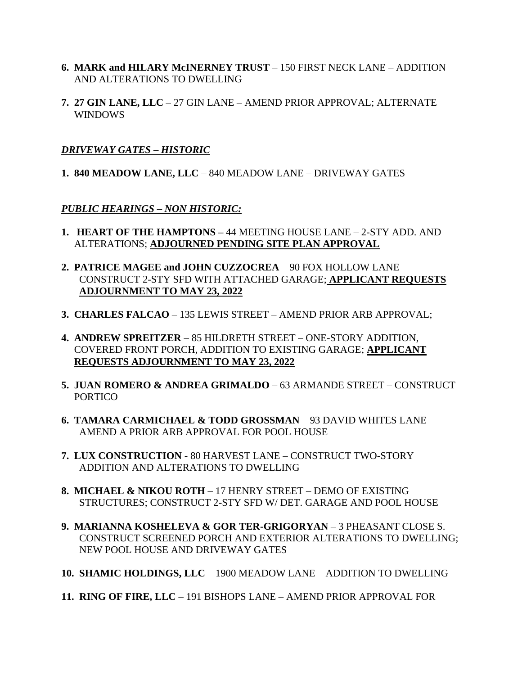- **6. MARK and HILARY McINERNEY TRUST** 150 FIRST NECK LANE ADDITION AND ALTERATIONS TO DWELLING
- **7. 27 GIN LANE, LLC** 27 GIN LANE AMEND PRIOR APPROVAL; ALTERNATE WINDOWS

#### *DRIVEWAY GATES – HISTORIC*

**1. 840 MEADOW LANE, LLC** – 840 MEADOW LANE – DRIVEWAY GATES

#### *PUBLIC HEARINGS – NON HISTORIC:*

- **1. HEART OF THE HAMPTONS –** 44 MEETING HOUSE LANE 2-STY ADD. AND ALTERATIONS; **ADJOURNED PENDING SITE PLAN APPROVAL**
- **2. PATRICE MAGEE and JOHN CUZZOCREA** 90 FOX HOLLOW LANE CONSTRUCT 2-STY SFD WITH ATTACHED GARAGE; **APPLICANT REQUESTS ADJOURNMENT TO MAY 23, 2022**
- **3. CHARLES FALCAO** 135 LEWIS STREET AMEND PRIOR ARB APPROVAL;
- **4. ANDREW SPREITZER** 85 HILDRETH STREET ONE-STORY ADDITION, COVERED FRONT PORCH, ADDITION TO EXISTING GARAGE; **APPLICANT REQUESTS ADJOURNMENT TO MAY 23, 2022**
- **5. JUAN ROMERO & ANDREA GRIMALDO** 63 ARMANDE STREET CONSTRUCT **PORTICO**
- **6. TAMARA CARMICHAEL & TODD GROSSMAN** 93 DAVID WHITES LANE AMEND A PRIOR ARB APPROVAL FOR POOL HOUSE
- **7. LUX CONSTRUCTION**  80 HARVEST LANE CONSTRUCT TWO-STORY ADDITION AND ALTERATIONS TO DWELLING
- **8. MICHAEL & NIKOU ROTH** 17 HENRY STREET DEMO OF EXISTING STRUCTURES; CONSTRUCT 2-STY SFD W/ DET. GARAGE AND POOL HOUSE
- **9. MARIANNA KOSHELEVA & GOR TER-GRIGORYAN** 3 PHEASANT CLOSE S. CONSTRUCT SCREENED PORCH AND EXTERIOR ALTERATIONS TO DWELLING; NEW POOL HOUSE AND DRIVEWAY GATES
- **10. SHAMIC HOLDINGS, LLC** 1900 MEADOW LANE ADDITION TO DWELLING
- **11. RING OF FIRE, LLC** 191 BISHOPS LANE AMEND PRIOR APPROVAL FOR